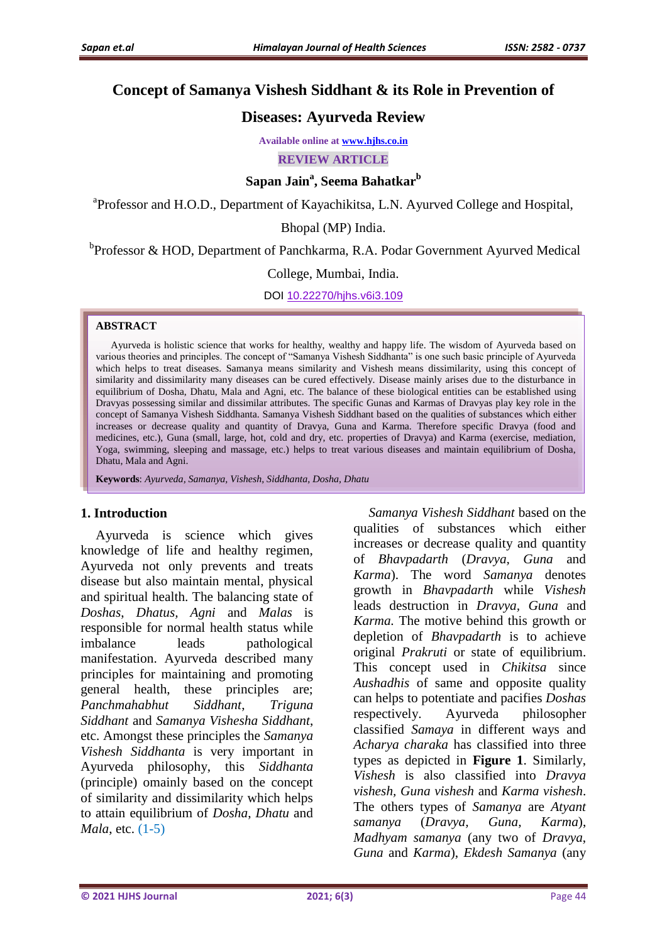# **Concept of Samanya Vishesh Siddhant & its Role in Prevention of**

# **Diseases: Ayurveda Review**

**Available online at www.hjhs.co.in**

**REVIEW ARTICLE**

# **Sapan Jain<sup>a</sup> , Seema Bahatkar<sup>b</sup>**

<sup>a</sup>Professor and H.O.D., Department of Kayachikitsa, L.N. Ayurved College and Hospital,

Bhopal (MP) India.

<sup>b</sup>Professor & HOD, Department of Panchkarma, R.A. Podar Government Ayurved Medical

#### College, Mumbai, India.

DOI 10.22270/hjhs.v6i3.109

#### **ABSTRACT**

Ayurveda is holistic science that works for healthy, wealthy and happy life. The wisdom of Ayurveda based on various theories and principles. The concept of "Samanya Vishesh Siddhanta" is one such basic principle of Ayurveda which helps to treat diseases. Samanya means similarity and Vishesh means dissimilarity, using this concept of similarity and dissimilarity many diseases can be cured effectively. Disease mainly arises due to the disturbance in equilibrium of Dosha, Dhatu, Mala and Agni, etc. The balance of these biological entities can be established using Dravyas possessing similar and dissimilar attributes. The specific Gunas and Karmas of Dravyas play key role in the concept of Samanya Vishesh Siddhanta. Samanya Vishesh Siddhant based on the qualities of substances which either increases or decrease quality and quantity of Dravya, Guna and Karma. Therefore specific Dravya (food and medicines, etc.), Guna (small, large, hot, cold and dry, etc. properties of Dravya) and Karma (exercise, mediation, Yoga, swimming, sleeping and massage, etc.) helps to treat various diseases and maintain equilibrium of Dosha, Dhatu, Mala and Agni.

**Keywords**: *Ayurveda, Samanya, Vishesh, Siddhanta, Dosha, Dhatu*

#### **1. Introduction**

Ayurveda is science which gives knowledge of life and healthy regimen, Ayurveda not only prevents and treats disease but also maintain mental, physical and spiritual health. The balancing state of *Doshas*, *Dhatus, Agni* and *Malas* is responsible for normal health status while imbalance leads pathological manifestation. Ayurveda described many principles for maintaining and promoting general health, these principles are; *Panchmahabhut Siddhant*, *Triguna Siddhant* and *Samanya Vishesha Siddhant*, etc. Amongst these principles the *Samanya Vishesh Siddhanta* is very important in Ayurveda philosophy, this *Siddhanta* (principle) omainly based on the concept of similarity and dissimilarity which helps to attain equilibrium of *Dosha*, *Dhatu* and *Mala*, etc. (1-5)

*Samanya Vishesh Siddhant* based on the qualities of substances which either increases or decrease quality and quantity of *Bhavpadarth* (*Dravya, Guna* and *Karma*). The word *Samanya* denotes growth in *Bhavpadarth* while *Vishesh* leads destruction in *Dravya, Guna* and *Karma.* The motive behind this growth or depletion of *Bhavpadarth* is to achieve original *Prakruti* or state of equilibrium. This concept used in *Chikitsa* since *Aushadhis* of same and opposite quality can helps to potentiate and pacifies *Doshas* respectively. Ayurveda philosopher classified *Samaya* in different ways and *Acharya charaka* has classified into three types as depicted in **Figure 1**. Similarly, *Vishesh* is also classified into *Dravya vishesh, Guna vishesh* and *Karma vishesh*. The others types of *Samanya* are *Atyant samanya* (*Dravya, Guna, Karma*), *Madhyam samanya* (any two of *Dravya*, *Guna* and *Karma*), *Ekdesh Samanya* (any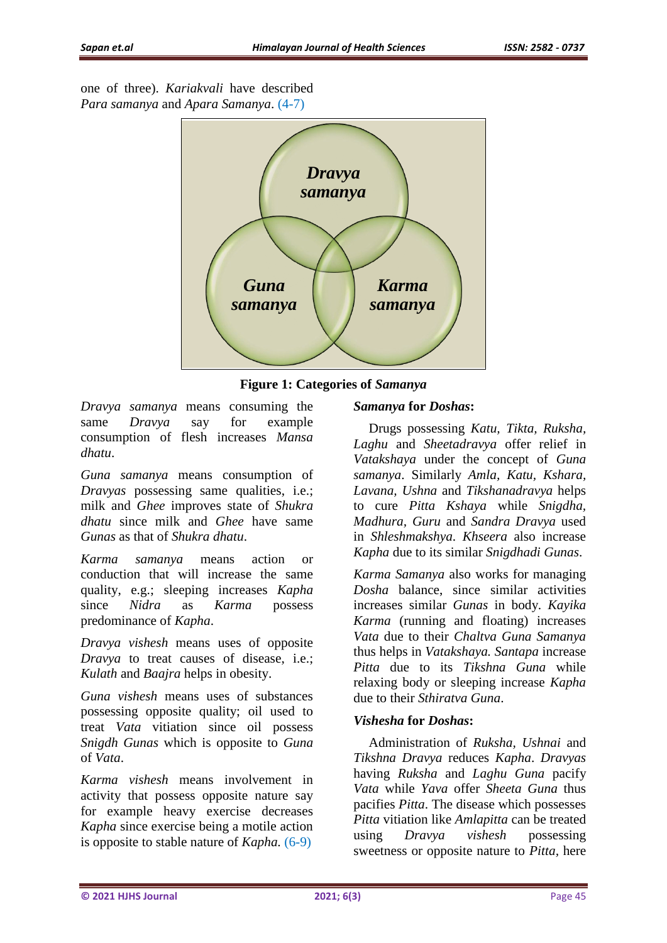one of three). *Kariakvali* have described *Para samanya* and *Apara Samanya*. (4-7)



**Figure 1: Categories of** *Samanya*

*Dravya samanya* means consuming the same *Dravya* say for example consumption of flesh increases *Mansa dhatu*.

*Guna samanya* means consumption of *Dravyas* possessing same qualities, i.e.; milk and *Ghee* improves state of *Shukra dhatu* since milk and *Ghee* have same *Gunas* as that of *Shukra dhatu*.

*Karma samanya* means action or conduction that will increase the same quality, e.g.; sleeping increases *Kapha* since *Nidra* as *Karma* possess predominance of *Kapha*.

*Dravya vishesh* means uses of opposite *Dravya* to treat causes of disease, i.e.; *Kulath* and *Baajra* helps in obesity.

*Guna vishesh* means uses of substances possessing opposite quality; oil used to treat *Vata* vitiation since oil possess *Snigdh Gunas* which is opposite to *Guna* of *Vata*.

*Karma vishesh* means involvement in activity that possess opposite nature say for example heavy exercise decreases *Kapha* since exercise being a motile action is opposite to stable nature of *Kapha.* (6-9)

## *Samanya* **for** *Doshas***:**

Drugs possessing *Katu, Tikta, Ruksha, Laghu* and *Sheetadravya* offer relief in *Vatakshaya* under the concept of *Guna samanya*. Similarly *Amla, Katu, Kshara, Lavana, Ushna* and *Tikshanadravya* helps to cure *Pitta Kshaya* while *Snigdha, Madhura, Guru* and *Sandra Dravya* used in *Shleshmakshya*. *Khseera* also increase *Kapha* due to its similar *Snigdhadi Gunas*.

*Karma Samanya* also works for managing *Dosha* balance, since similar activities increases similar *Gunas* in body. *Kayika Karma* (running and floating) increases *Vata* due to their *Chaltva Guna Samanya* thus helps in *Vatakshaya. Santapa* increase *Pitta* due to its *Tikshna Guna* while relaxing body or sleeping increase *Kapha* due to their *Sthiratva Guna*.

### *Vishesha* **for** *Doshas***:**

Administration of *Ruksha, Ushnai* and *Tikshna Dravya* reduces *Kapha*. *Dravyas* having *Ruksha* and *Laghu Guna* pacify *Vata* while *Yava* offer *Sheeta Guna* thus pacifies *Pitta*. The disease which possesses *Pitta* vitiation like *Amlapitta* can be treated using *Dravya vishesh* possessing sweetness or opposite nature to *Pitta,* here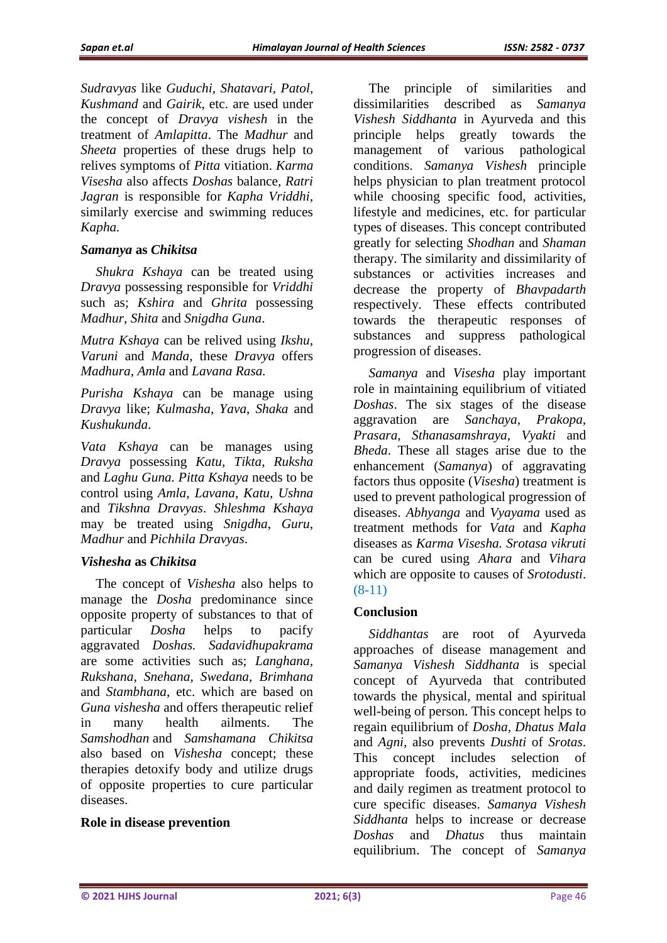*Sudravyas* like *Guduchi, Shatavari, Patol, Kushmand* and *Gairik*, etc. are used under the concept of *Dravya vishesh* in the treatment of *Amlapitta*. The *Madhur* and *Sheeta* properties of these drugs help to relives symptoms of *Pitta* vitiation. *Karma Visesha* also affects *Doshas* balance*, Ratri Jagran* is responsible for *Kapha Vriddhi,* similarly exercise and swimming reduces *Kapha.*

## *Samanya* **as** *Chikitsa*

*Shukra Kshaya* can be treated using *Dravya* possessing responsible for *Vriddhi* such as; *Kshira* and *Ghrita* possessing *Madhur, Shita* and *Snigdha Guna*.

*Mutra Kshaya* can be relived using *Ikshu*, *Varuni* and *Manda,* these *Dravya* offers *Madhura*, *Amla* and *Lavana Rasa.*

*Purisha Kshaya* can be manage using *Dravya* like; *Kulmasha*, *Yava*, *Shaka* and *Kushukunda*.

*Vata Kshaya* can be manages using *Dravya* possessing *Katu*, *Tikta*, *Ruksha* and *Laghu Guna. Pitta Kshaya* needs to be control using *Amla*, *Lavana*, *Katu, Ushna* and *Tikshna Dravyas*. *Shleshma Kshaya* may be treated using *Snigdha*, *Guru*, *Madhur* and *Pichhila Dravyas*.

# *Vishesha* **as** *Chikitsa*

The concept of *Vishesha* also helps to manage the *Dosha* predominance since opposite property of substances to that of particular *Dosha* helps to pacify aggravated *Doshas. Sadavidhupakrama* are some activities such as; *Langhana, Rukshana, Snehana, Swedana, Brimhana*  and *Stambhana*, etc. which are based on *Guna vishesha* and offers therapeutic relief in many health ailments. The *Samshodhan* and *Samshamana Chikitsa* also based on *Vishesha* concept; these therapies detoxify body and utilize drugs of opposite properties to cure particular diseases.

# **Role in disease prevention**

The principle of similarities and dissimilarities described as *Samanya Vishesh Siddhanta* in Ayurveda and this principle helps greatly towards the management of various pathological conditions. *Samanya Vishesh* principle helps physician to plan treatment protocol while choosing specific food, activities, lifestyle and medicines, etc. for particular types of diseases. This concept contributed greatly for selecting *Shodhan* and *Shaman* therapy. The similarity and dissimilarity of substances or activities increases and decrease the property of *Bhavpadarth* respectively. These effects contributed towards the therapeutic responses of substances and suppress pathological progression of diseases.

*Samanya* and *Visesha* play important role in maintaining equilibrium of vitiated *Doshas*. The six stages of the disease aggravation are *Sanchaya, Prakopa, Prasara, Sthanasamshraya, Vyakti* and *Bheda*. These all stages arise due to the enhancement (*Samanya*) of aggravating factors thus opposite (*Visesha*) treatment is used to prevent pathological progression of diseases. *Abhyanga* and *Vyayama* used as treatment methods for *Vata* and *Kapha* diseases as *Karma Visesha. Srotasa vikruti* can be cured using *Ahara* and *Vihara* which are opposite to causes of *Srotodusti*. (8-11)

# **Conclusion**

*Siddhantas* are root of Ayurveda approaches of disease management and *Samanya Vishesh Siddhanta* is special concept of Ayurveda that contributed towards the physical, mental and spiritual well-being of person. This concept helps to regain equilibrium of *Dosha, Dhatus Mala* and *Agni,* also prevents *Dushti* of *Srotas*. This concept includes selection of appropriate foods, activities, medicines and daily regimen as treatment protocol to cure specific diseases. *Samanya Vishesh Siddhanta* helps to increase or decrease *Doshas* and *Dhatus* thus maintain equilibrium. The concept of *Samanya*